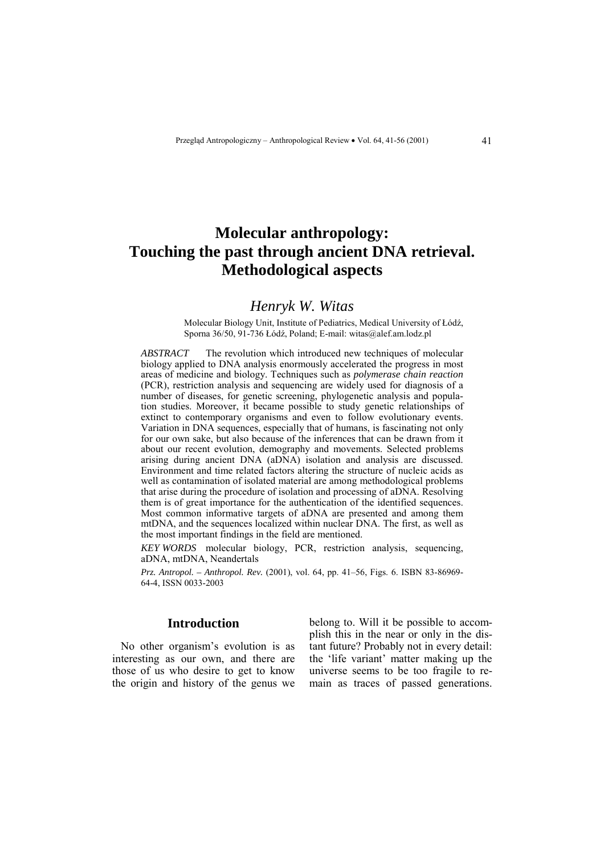# **Molecular anthropology: Touching the past through ancient DNA retrieval. Methodological aspects**

# *Henryk W. Witas*

Molecular Biology Unit, Institute of Pediatrics, Medical University of Łódź, Sporna 36/50, 91-736 Łódź, Poland; E-mail: witas@alef.am.lodz.pl

*ABSTRACT* The revolution which introduced new techniques of molecular biology applied to DNA analysis enormously accelerated the progress in most areas of medicine and biology. Techniques such as *polymerase chain reaction* (PCR), restriction analysis and sequencing are widely used for diagnosis of a number of diseases, for genetic screening, phylogenetic analysis and population studies. Moreover, it became possible to study genetic relationships of extinct to contemporary organisms and even to follow evolutionary events. Variation in DNA sequences, especially that of humans, is fascinating not only for our own sake, but also because of the inferences that can be drawn from it about our recent evolution, demography and movements. Selected problems arising during ancient DNA (aDNA) isolation and analysis are discussed. Environment and time related factors altering the structure of nucleic acids as well as contamination of isolated material are among methodological problems that arise during the procedure of isolation and processing of aDNA. Resolving them is of great importance for the authentication of the identified sequences. Most common informative targets of aDNA are presented and among them mtDNA, and the sequences localized within nuclear DNA. The first, as well as the most important findings in the field are mentioned.

*KEY WORDS* molecular biology, PCR, restriction analysis, sequencing, aDNA, mtDNA, Neandertals

*Prz. Antropol. – Anthropol. Rev.* (2001), vol. 64, pp. 41–56, Figs. 6. ISBN 83-86969-64-4, ISSN 0033-2003

### **Introduction**

No other organism's evolution is as interesting as our own, and there are those of us who desire to get to know the origin and history of the genus we belong to. Will it be possible to accomplish this in the near or only in the distant future? Probably not in every detail: the 'life variant' matter making up the universe seems to be too fragile to remain as traces of passed generations.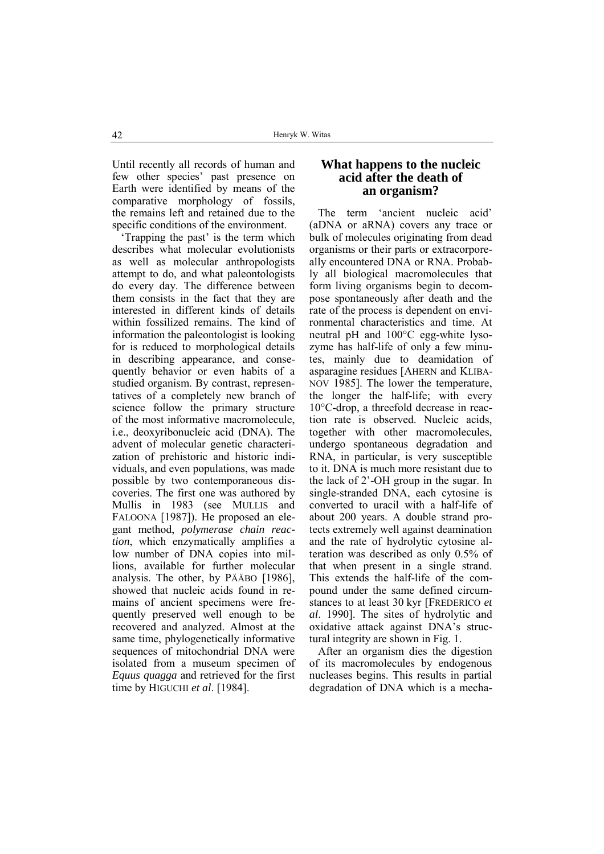Until recently all records of human and few other species' past presence on Earth were identified by means of the comparative morphology of fossils, the remains left and retained due to the specific conditions of the environment.

Trapping the past' is the term which describes what molecular evolutionists as well as molecular anthropologists attempt to do, and what paleontologists do every day. The difference between them consists in the fact that they are interested in different kinds of details within fossilized remains. The kind of information the paleontologist is looking for is reduced to morphological details in describing appearance, and consequently behavior or even habits of a studied organism. By contrast, representatives of a completely new branch of science follow the primary structure of the most informative macromolecule, i.e., deoxyribonucleic acid (DNA). The advent of molecular genetic characterization of prehistoric and historic individuals, and even populations, was made possible by two contemporaneous discoveries. The first one was authored by Mullis in 1983 (see MULLIS and FALOONA [1987]). He proposed an elegant method, *polymerase chain reaction*, which enzymatically amplifies a low number of DNA copies into millions, available for further molecular analysis. The other, by PÄÄBO [1986], showed that nucleic acids found in remains of ancient specimens were frequently preserved well enough to be recovered and analyzed. Almost at the same time, phylogenetically informative sequences of mitochondrial DNA were isolated from a museum specimen of *Equus quagga* and retrieved for the first time by HIGUCHI *et al*. [1984].

# **What happens to the nucleic acid after the death of an organism?**

The term 'ancient nucleic acid' (aDNA or aRNA) covers any trace or bulk of molecules originating from dead organisms or their parts or extracorporeally encountered DNA or RNA. Probably all biological macromolecules that form living organisms begin to decompose spontaneously after death and the rate of the process is dependent on environmental characteristics and time. At neutral pH and 100°C egg-white lysozyme has half-life of only a few minutes, mainly due to deamidation of asparagine residues [AHERN and KLIBA-NOV 1985]. The lower the temperature, the longer the half-life; with every 10°C-drop, a threefold decrease in reaction rate is observed. Nucleic acids, together with other macromolecules, undergo spontaneous degradation and RNA, in particular, is very susceptible to it. DNA is much more resistant due to the lack of  $2^{\prime}$ -OH group in the sugar. In single-stranded DNA, each cytosine is converted to uracil with a half-life of about 200 years. A double strand protects extremely well against deamination and the rate of hydrolytic cytosine alteration was described as only 0.5% of that when present in a single strand. This extends the half-life of the compound under the same defined circumstances to at least 30 kyr [FREDERICO *et al*. 1990]. The sites of hydrolytic and oxidative attack against DNA's structural integrity are shown in Fig. 1.

After an organism dies the digestion of its macromolecules by endogenous nucleases begins. This results in partial degradation of DNA which is a mecha-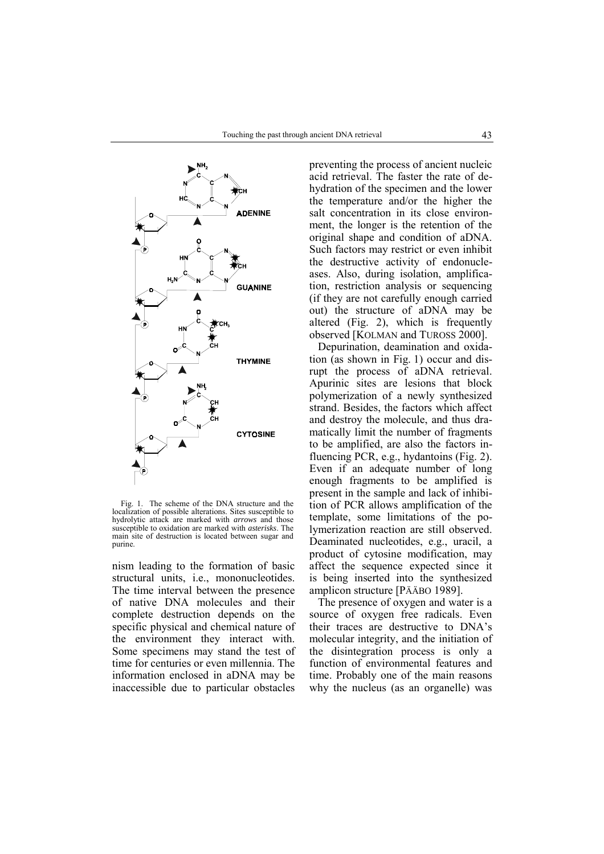

Fig. 1. The scheme of the DNA structure and the localization of possible alterations. Sites susceptible to hydrolytic attack are marked with *arrows* and those susceptible to oxidation are marked with *asterisks*. The main site of destruction is located between sugar and purine.

nism leading to the formation of basic structural units, i.e., mononucleotides. The time interval between the presence of native DNA molecules and their complete destruction depends on the specific physical and chemical nature of the environment they interact with. Some specimens may stand the test of time for centuries or even millennia. The information enclosed in aDNA may be inaccessible due to particular obstacles

preventing the process of ancient nucleic acid retrieval. The faster the rate of dehydration of the specimen and the lower the temperature and/or the higher the salt concentration in its close environment, the longer is the retention of the original shape and condition of aDNA. Such factors may restrict or even inhibit the destructive activity of endonucleases. Also, during isolation, amplification, restriction analysis or sequencing (if they are not carefully enough carried out) the structure of aDNA may be altered (Fig. 2), which is frequently observed [KOLMAN and TUROSS 2000].

Depurination, deamination and oxidation (as shown in Fig. 1) occur and disrupt the process of aDNA retrieval. Apurinic sites are lesions that block polymerization of a newly synthesized strand. Besides, the factors which affect and destroy the molecule, and thus dramatically limit the number of fragments to be amplified, are also the factors influencing PCR, e.g., hydantoins (Fig. 2). Even if an adequate number of long enough fragments to be amplified is present in the sample and lack of inhibition of PCR allows amplification of the template, some limitations of the polymerization reaction are still observed. Deaminated nucleotides, e.g., uracil, a product of cytosine modification, may affect the sequence expected since it is being inserted into the synthesized amplicon structure [PÄÄBO 1989].

The presence of oxygen and water is a source of oxygen free radicals. Even their traces are destructive to DNA's molecular integrity, and the initiation of the disintegration process is only a function of environmental features and time. Probably one of the main reasons why the nucleus (as an organelle) was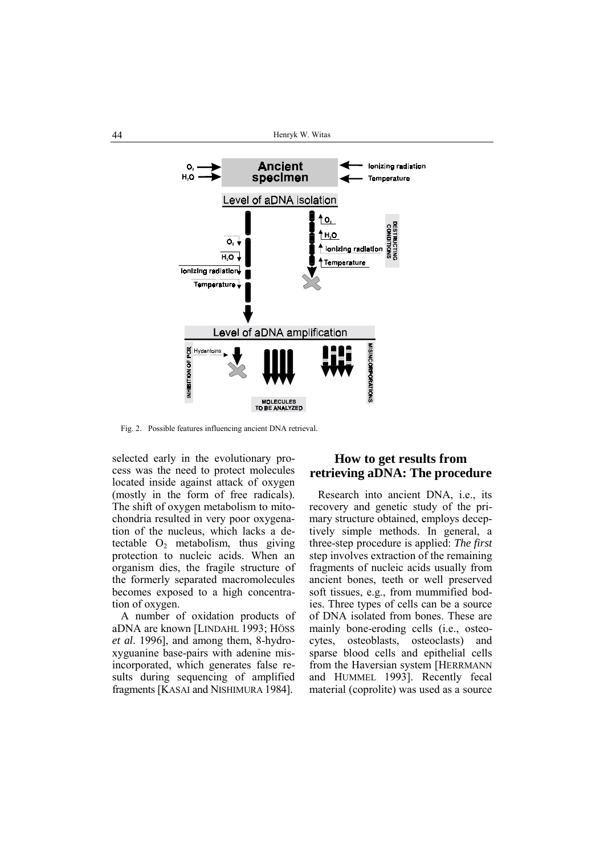

Fig. 2. Possible features influencing ancient DNA retrieval.

selected early in the evolutionary process was the need to protect molecules located inside against attack of oxygen (mostly in the form of free radicals). The shift of oxygen metabolism to mitochondria resulted in very poor oxygenation of the nucleus, which lacks a detectable  $O_2$  metabolism, thus giving protection to nucleic acids. When an organism dies, the fragile structure of the formerly separated macromolecules becomes exposed to a high concentration of oxygen.

A number of oxidation products of aDNA are known [LINDAHL 1993; HÖSS] *et al*. 1996], and among them, 8-hydroxyguanine base-pairs with adenine misincorporated, which generates false results during sequencing of amplified fragments [KASAI and NISHIMURA 1984].

# **How to get results from retrieving aDNA: The procedure**

Research into ancient DNA, i.e., its recovery and genetic study of the primary structure obtained, employs deceptively simple methods. In general, a three-step procedure is applied: *The first* step involves extraction of the remaining fragments of nucleic acids usually from ancient bones, teeth or well preserved soft tissues, e.g., from mummified bodies. Three types of cells can be a source of DNA isolated from bones. These are mainly bone-eroding cells (i.e., osteocytes, osteoblasts, osteoclasts) and sparse blood cells and epithelial cells from the Haversian system [HERRMANN and HUMMEL 1993]. Recently fecal material (coprolite) was used as a source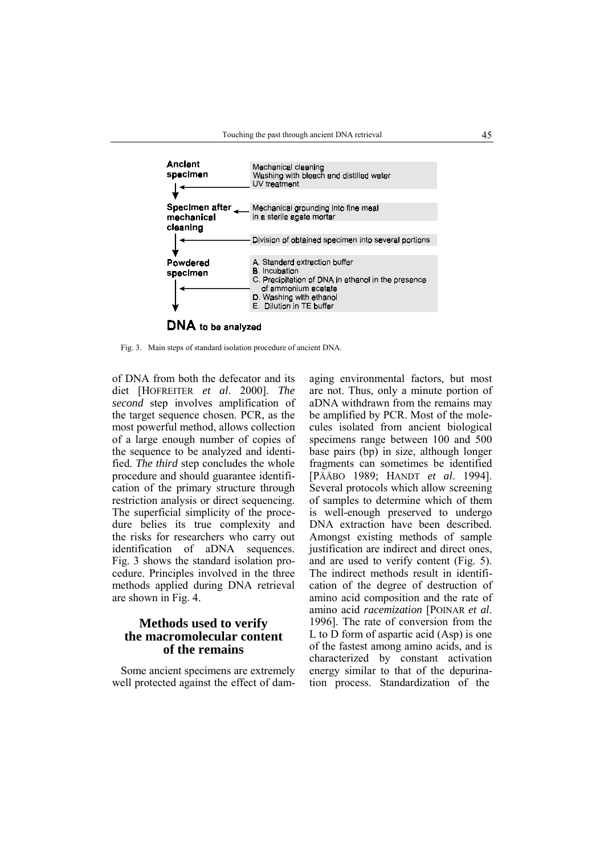

Fig. 3. Main steps of standard isolation procedure of ancient DNA.

of DNA from both the defecator and its diet [HOFREITER *et al*. 2000]. *The second* step involves amplification of the target sequence chosen. PCR, as the most powerful method, allows collection of a large enough number of copies of the sequence to be analyzed and identified. *The third* step concludes the whole procedure and should guarantee identification of the primary structure through restriction analysis or direct sequencing. The superficial simplicity of the procedure belies its true complexity and the risks for researchers who carry out identification of aDNA sequences. Fig. 3 shows the standard isolation procedure. Principles involved in the three methods applied during DNA retrieval are shown in Fig. 4.

# **Methods used to verify the macromolecular content of the remains**

Some ancient specimens are extremely well protected against the effect of dam-

aging environmental factors, but most are not. Thus, only a minute portion of aDNA withdrawn from the remains may be amplified by PCR. Most of the molecules isolated from ancient biological specimens range between 100 and 500 base pairs (bp) in size, although longer fragments can sometimes be identified [PÄÄBO 1989; HANDT *et al*. 1994]. Several protocols which allow screening of samples to determine which of them is well-enough preserved to undergo DNA extraction have been described. Amongst existing methods of sample justification are indirect and direct ones, and are used to verify content (Fig. 5). The indirect methods result in identification of the degree of destruction of amino acid composition and the rate of amino acid *racemization* [POINAR *et al*. 1996]. The rate of conversion from the L to D form of aspartic acid (Asp) is one of the fastest among amino acids, and is characterized by constant activation energy similar to that of the depurination process. Standardization of the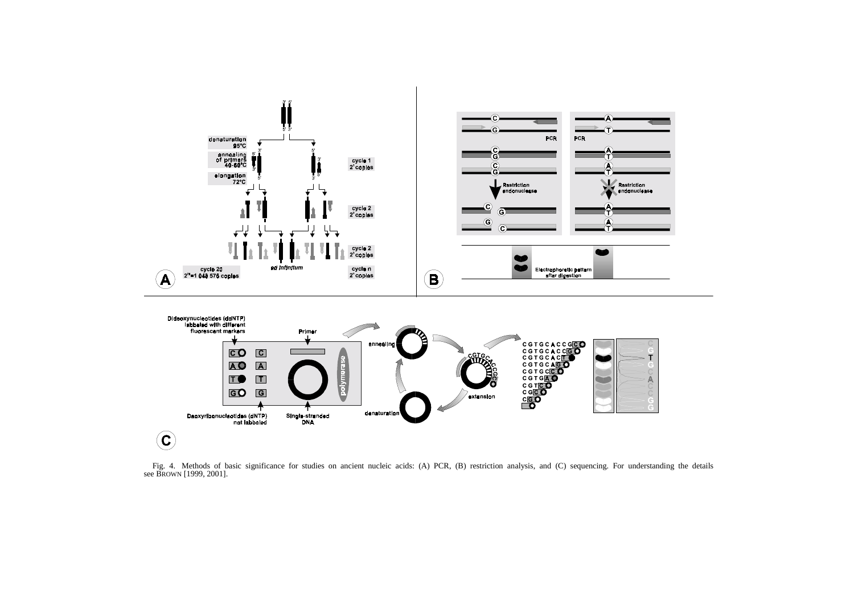

Fig. 4. Methods of basic significance for studies on ancient nucleic acids: (A) PCR, (B) restriction analysis, and (C) sequencing. For understanding the details see BROWN [1999, 2001].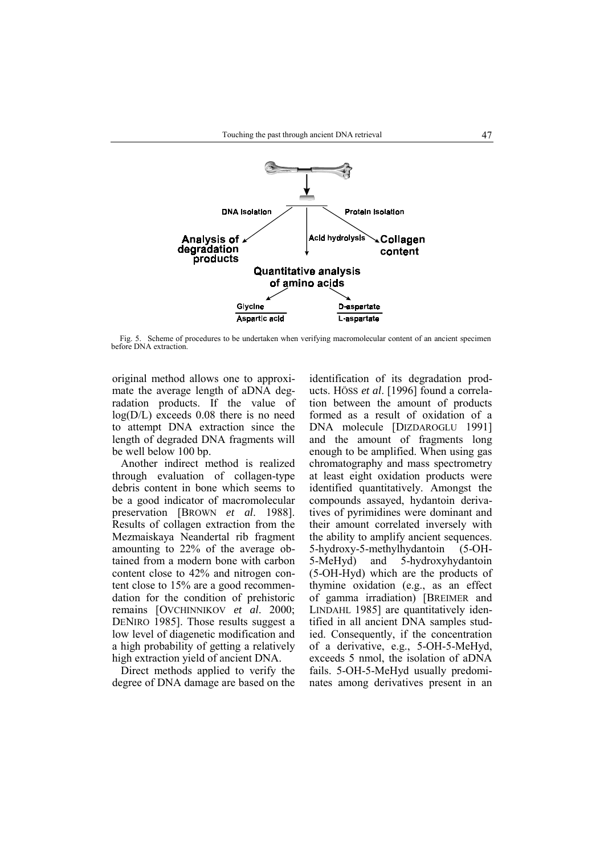

Fig. 5. Scheme of procedures to be undertaken when verifying macromolecular content of an ancient specimen before DNA extraction.

original method allows one to approximate the average length of aDNA degradation products. If the value of log(D/L) exceeds 0.08 there is no need to attempt DNA extraction since the length of degraded DNA fragments will be well below 100 bp.

Another indirect method is realized through evaluation of collagen-type debris content in bone which seems to be a good indicator of macromolecular preservation [BROWN *et al*. 1988]. Results of collagen extraction from the Mezmaiskaya Neandertal rib fragment amounting to 22% of the average obtained from a modern bone with carbon content close to 42% and nitrogen content close to 15% are a good recommendation for the condition of prehistoric remains [OVCHINNIKOV *et al*. 2000; DENIRO 1985]. Those results suggest a low level of diagenetic modification and a high probability of getting a relatively high extraction yield of ancient DNA.

Direct methods applied to verify the degree of DNA damage are based on the

identification of its degradation products. Höss et al. [1996] found a correlation between the amount of products formed as a result of oxidation of a DNA molecule [DIZDAROGLU 1991] and the amount of fragments long enough to be amplified. When using gas chromatography and mass spectrometry at least eight oxidation products were identified quantitatively. Amongst the compounds assayed, hydantoin derivatives of pyrimidines were dominant and their amount correlated inversely with the ability to amplify ancient sequences. 5-hydroxy-5-methylhydantoin (5-OH-5-MeHyd) and 5-hydroxyhydantoin (5-OH-Hyd) which are the products of thymine oxidation (e.g., as an effect of gamma irradiation) [BREIMER and LINDAHL 1985] are quantitatively identified in all ancient DNA samples studied. Consequently, if the concentration of a derivative, e.g., 5-OH-5-MeHyd, exceeds 5 nmol, the isolation of aDNA fails. 5-OH-5-MeHyd usually predominates among derivatives present in an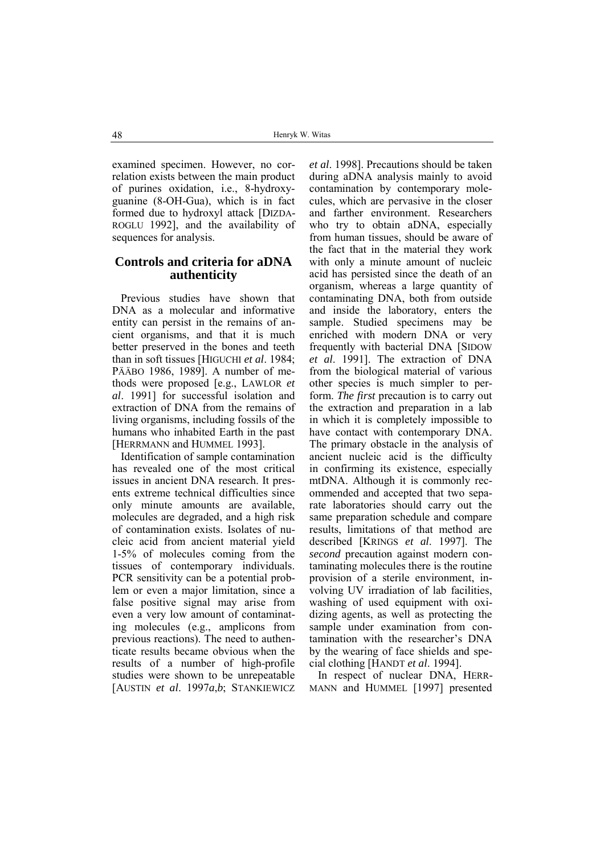examined specimen. However, no correlation exists between the main product of purines oxidation, i.e., 8-hydroxyguanine (8-OH-Gua), which is in fact formed due to hydroxyl attack [DIZDA-ROGLU 1992], and the availability of sequences for analysis.

# **Controls and criteria for aDNA authenticity**

Previous studies have shown that DNA as a molecular and informative entity can persist in the remains of ancient organisms, and that it is much better preserved in the bones and teeth than in soft tissues [HIGUCHI *et al*. 1984; PÄÄBO 1986, 1989]. A number of methods were proposed [e.g., LAWLOR *et al*. 1991] for successful isolation and extraction of DNA from the remains of living organisms, including fossils of the humans who inhabited Earth in the past [HERRMANN and HUMMEL 1993].

Identification of sample contamination has revealed one of the most critical issues in ancient DNA research. It presents extreme technical difficulties since only minute amounts are available, molecules are degraded, and a high risk of contamination exists. Isolates of nucleic acid from ancient material yield 1-5% of molecules coming from the tissues of contemporary individuals. PCR sensitivity can be a potential problem or even a major limitation, since a false positive signal may arise from even a very low amount of contaminating molecules (e.g., amplicons from previous reactions). The need to authenticate results became obvious when the results of a number of high-profile studies were shown to be unrepeatable [AUSTIN *et al*. 1997*a*,*b*; STANKIEWICZ

*et al*. 1998]. Precautions should be taken during aDNA analysis mainly to avoid contamination by contemporary molecules, which are pervasive in the closer and farther environment. Researchers who try to obtain aDNA, especially from human tissues, should be aware of the fact that in the material they work with only a minute amount of nucleic acid has persisted since the death of an organism, whereas a large quantity of contaminating DNA, both from outside and inside the laboratory, enters the sample. Studied specimens may be enriched with modern DNA or very frequently with bacterial DNA [SIDOW *et al*. 1991]. The extraction of DNA from the biological material of various other species is much simpler to perform. *The first* precaution is to carry out the extraction and preparation in a lab in which it is completely impossible to have contact with contemporary DNA. The primary obstacle in the analysis of ancient nucleic acid is the difficulty in confirming its existence, especially mtDNA. Although it is commonly recommended and accepted that two separate laboratories should carry out the same preparation schedule and compare results, limitations of that method are described [KRINGS *et al*. 1997]. The *second* precaution against modern contaminating molecules there is the routine provision of a sterile environment, involving UV irradiation of lab facilities, washing of used equipment with oxidizing agents, as well as protecting the sample under examination from contamination with the researcher's DNA by the wearing of face shields and special clothing [HANDT *et al*. 1994].

In respect of nuclear DNA, HERR-MANN and HUMMEL [1997] presented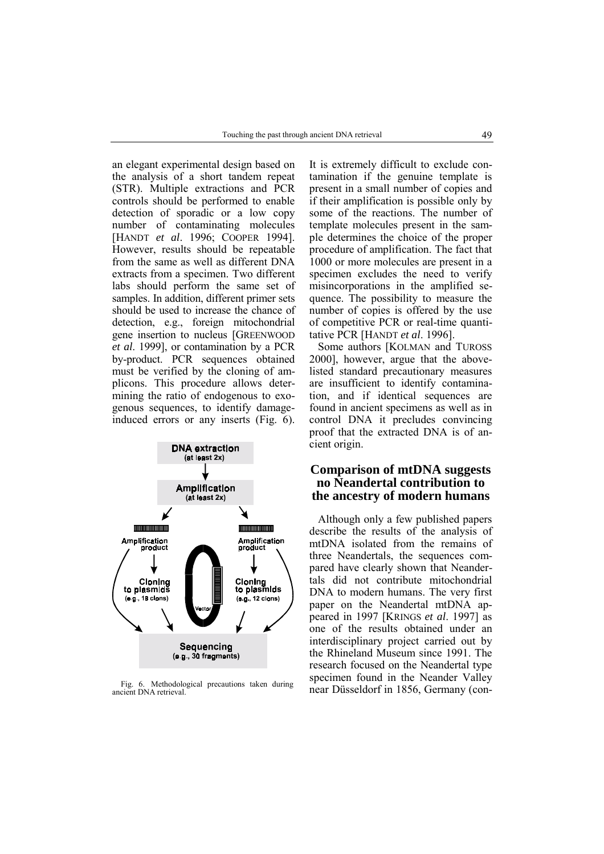an elegant experimental design based on the analysis of a short tandem repeat (STR). Multiple extractions and PCR controls should be performed to enable detection of sporadic or a low copy number of contaminating molecules [HANDT *et al*. 1996; COOPER 1994]. However, results should be repeatable from the same as well as different DNA extracts from a specimen. Two different labs should perform the same set of samples. In addition, different primer sets should be used to increase the chance of detection, e.g., foreign mitochondrial gene insertion to nucleus [GREENWOOD *et al*. 1999], or contamination by a PCR by-product. PCR sequences obtained must be verified by the cloning of amplicons. This procedure allows determining the ratio of endogenous to exogenous sequences, to identify damageinduced errors or any inserts (Fig. 6).



ancient DNA retrieval.

It is extremely difficult to exclude contamination if the genuine template is present in a small number of copies and if their amplification is possible only by some of the reactions. The number of template molecules present in the sample determines the choice of the proper procedure of amplification. The fact that 1000 or more molecules are present in a specimen excludes the need to verify misincorporations in the amplified sequence. The possibility to measure the number of copies is offered by the use of competitive PCR or real-time quantitative PCR [HANDT *et al*. 1996].

Some authors [KOLMAN and TUROSS 2000], however, argue that the abovelisted standard precautionary measures are insufficient to identify contamination, and if identical sequences are found in ancient specimens as well as in control DNA it precludes convincing proof that the extracted DNA is of ancient origin.

# **Comparison of mtDNA suggests no Neandertal contribution to the ancestry of modern humans**

Although only a few published papers describe the results of the analysis of mtDNA isolated from the remains of three Neandertals, the sequences compared have clearly shown that Neandertals did not contribute mitochondrial DNA to modern humans. The very first paper on the Neandertal mtDNA appeared in 1997 [KRINGS *et al*. 1997] as one of the results obtained under an interdisciplinary project carried out by the Rhineland Museum since 1991. The research focused on the Neandertal type specimen found in the Neander Valley Fig. 6. Methodological precautions taken during<br>near Düsseldorf in 1856, Germany (con-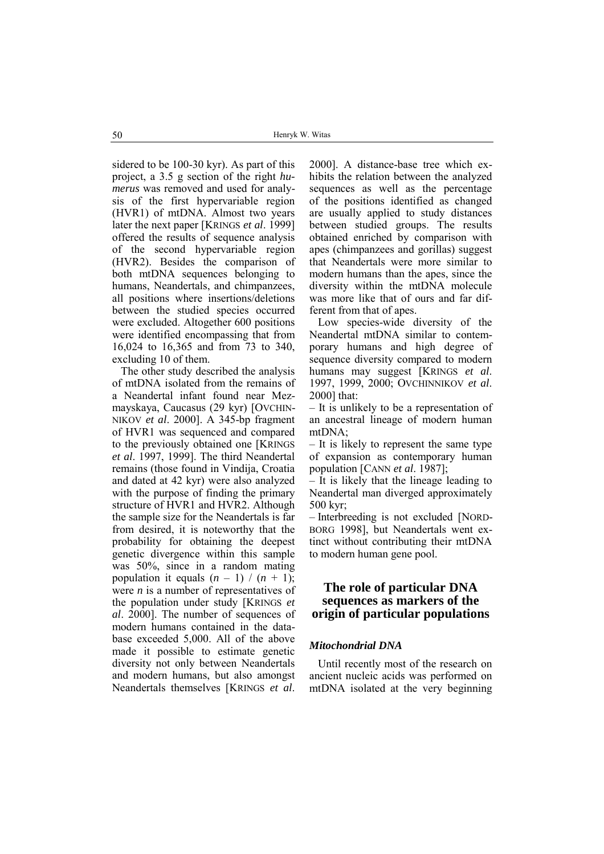sidered to be 100-30 kyr). As part of this project, a 3.5 g section of the right *humerus* was removed and used for analysis of the first hypervariable region (HVR1) of mtDNA. Almost two years later the next paper [KRINGS *et al*. 1999] offered the results of sequence analysis of the second hypervariable region (HVR2). Besides the comparison of both mtDNA sequences belonging to humans, Neandertals, and chimpanzees, all positions where insertions/deletions between the studied species occurred were excluded. Altogether 600 positions were identified encompassing that from 16,024 to 16,365 and from 73 to 340, excluding 10 of them.

The other study described the analysis of mtDNA isolated from the remains of a Neandertal infant found near Mezmayskaya, Caucasus (29 kyr) [OVCHIN-NIKOV *et al*. 2000]. A 345-bp fragment of HVR1 was sequenced and compared to the previously obtained one [KRINGS *et al*. 1997, 1999]. The third Neandertal remains (those found in Vindija, Croatia and dated at 42 kyr) were also analyzed with the purpose of finding the primary structure of HVR1 and HVR2. Although the sample size for the Neandertals is far from desired, it is noteworthy that the probability for obtaining the deepest genetic divergence within this sample was 50%, since in a random mating population it equals  $(n - 1) / (n + 1)$ ; were *n* is a number of representatives of the population under study [KRINGS *et al*. 2000]. The number of sequences of modern humans contained in the database exceeded 5,000. All of the above made it possible to estimate genetic diversity not only between Neandertals and modern humans, but also amongst Neandertals themselves [KRINGS *et al*.

2000]. A distance-base tree which exhibits the relation between the analyzed sequences as well as the percentage of the positions identified as changed are usually applied to study distances between studied groups. The results obtained enriched by comparison with apes (chimpanzees and gorillas) suggest that Neandertals were more similar to modern humans than the apes, since the diversity within the mtDNA molecule was more like that of ours and far different from that of apes.

Low species-wide diversity of the Neandertal mtDNA similar to contemporary humans and high degree of sequence diversity compared to modern humans may suggest [KRINGS *et al*. 1997, 1999, 2000; OVCHINNIKOV *et al*. 2000] that:

– It is unlikely to be a representation of an ancestral lineage of modern human mtDNA;

 $-$  It is likely to represent the same type of expansion as contemporary human population [CANN *et al*. 1987];

 $\overline{\phantom{a}}$  It is likely that the lineage leading to Neandertal man diverged approximately 500 kyr;

– Interbreeding is not excluded [NORD-BORG 1998], but Neandertals went extinct without contributing their mtDNA to modern human gene pool.

# **The role of particular DNA sequences as markers of the origin of particular populations**

### *Mitochondrial DNA*

Until recently most of the research on ancient nucleic acids was performed on mtDNA isolated at the very beginning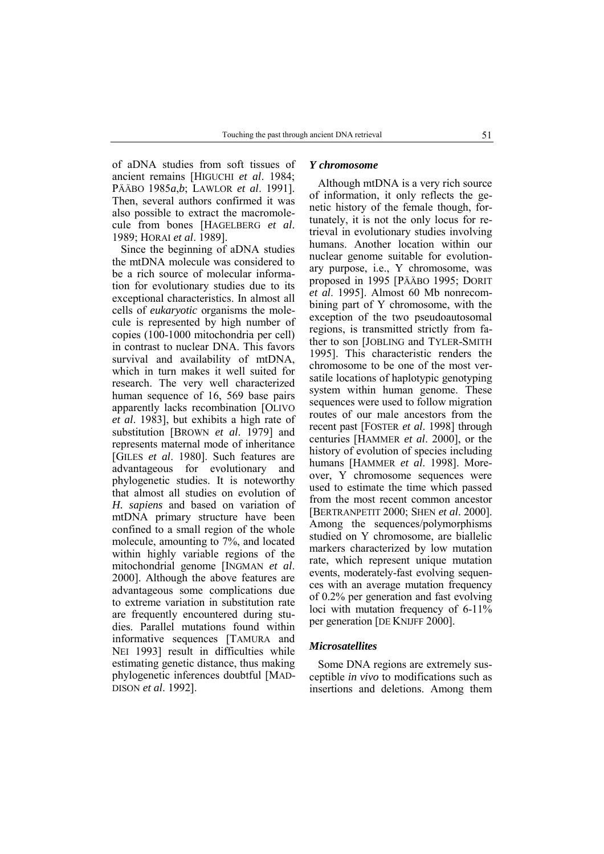of aDNA studies from soft tissues of ancient remains [HIGUCHI *et al*. 1984; PÄÄBO 1985*a*,*b*; LAWLOR *et al*. 1991]. Then, several authors confirmed it was also possible to extract the macromolecule from bones [HAGELBERG *et al*. 1989; HORAI *et al*. 1989].

Since the beginning of aDNA studies the mtDNA molecule was considered to be a rich source of molecular information for evolutionary studies due to its exceptional characteristics. In almost all cells of *eukaryotic* organisms the molecule is represented by high number of copies (100-1000 mitochondria per cell) in contrast to nuclear DNA. This favors survival and availability of mtDNA, which in turn makes it well suited for research. The very well characterized human sequence of 16, 569 base pairs apparently lacks recombination [OLIVO *et al*. 1983], but exhibits a high rate of substitution [BROWN *et al*. 1979] and represents maternal mode of inheritance [GILES *et al*. 1980]. Such features are advantageous for evolutionary and phylogenetic studies. It is noteworthy that almost all studies on evolution of *H. sapiens* and based on variation of mtDNA primary structure have been confined to a small region of the whole molecule, amounting to 7%, and located within highly variable regions of the mitochondrial genome [INGMAN *et al*. 2000]. Although the above features are advantageous some complications due to extreme variation in substitution rate are frequently encountered during studies. Parallel mutations found within informative sequences [TAMURA and NEI 1993] result in difficulties while estimating genetic distance, thus making phylogenetic inferences doubtful [MAD-DISON *et al*. 1992].

#### *Y chromosome*

Although mtDNA is a very rich source of information, it only reflects the genetic history of the female though, fortunately, it is not the only locus for retrieval in evolutionary studies involving humans. Another location within our nuclear genome suitable for evolutionary purpose, i.e., Y chromosome, was proposed in 1995 [PÄÄBO 1995; DORIT *et al*. 1995]. Almost 60 Mb nonrecombining part of Y chromosome, with the exception of the two pseudoautosomal regions, is transmitted strictly from father to son [JOBLING and TYLER-SMITH 1995]. This characteristic renders the chromosome to be one of the most versatile locations of haplotypic genotyping system within human genome. These sequences were used to follow migration routes of our male ancestors from the recent past [FOSTER *et al*. 1998] through centuries [HAMMER *et al*. 2000], or the history of evolution of species including humans [HAMMER *et al*. 1998]. Moreover, Y chromosome sequences were used to estimate the time which passed from the most recent common ancestor [BERTRANPETIT 2000; SHEN *et al*. 2000]. Among the sequences/polymorphisms studied on Y chromosome, are biallelic markers characterized by low mutation rate, which represent unique mutation events, moderately-fast evolving sequences with an average mutation frequency of 0.2% per generation and fast evolving loci with mutation frequency of 6-11% per generation [DE KNIJFF 2000].

#### *Microsatellites*

Some DNA regions are extremely susceptible *in vivo* to modifications such as insertions and deletions. Among them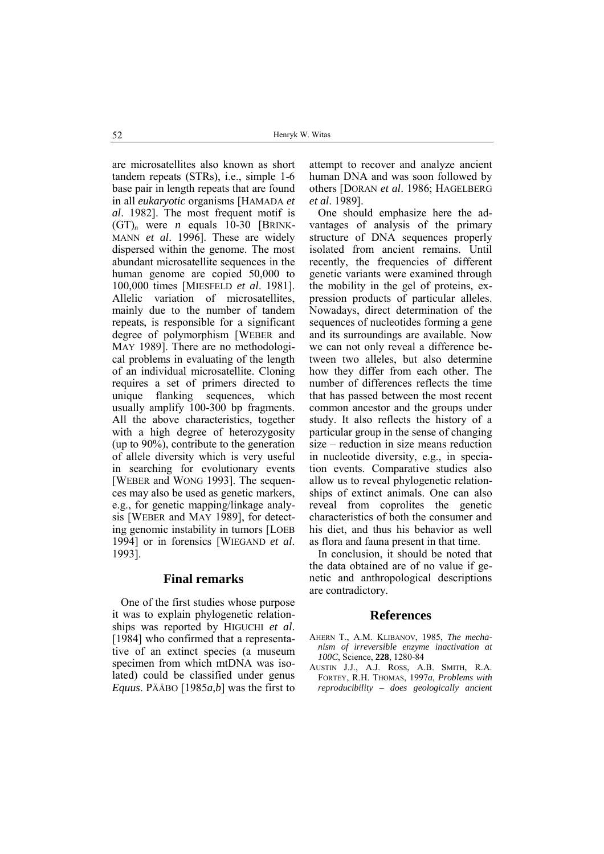are microsatellites also known as short tandem repeats (STRs), i.e., simple 1-6 base pair in length repeats that are found in all *eukaryotic* organisms [HAMADA *et al*. 1982]. The most frequent motif is  $(GT)<sub>n</sub>$  were *n* equals 10-30 [BRINK-MANN *et al*. 1996]. These are widely dispersed within the genome. The most abundant microsatellite sequences in the human genome are copied 50,000 to 100,000 times [MIESFELD *et al*. 1981]. Allelic variation of microsatellites, mainly due to the number of tandem repeats, is responsible for a significant degree of polymorphism [WEBER and MAY 1989]. There are no methodological problems in evaluating of the length of an individual microsatellite. Cloning requires a set of primers directed to unique flanking sequences, which usually amplify 100-300 bp fragments. All the above characteristics, together with a high degree of heterozygosity (up to 90%), contribute to the generation of allele diversity which is very useful in searching for evolutionary events [WEBER and WONG 1993]. The sequences may also be used as genetic markers, e.g., for genetic mapping/linkage analysis [WEBER and MAY 1989], for detecting genomic instability in tumors [LOEB 1994] or in forensics [WIEGAND *et al*. 1993].

### **Final remarks**

One of the first studies whose purpose it was to explain phylogenetic relationships was reported by HIGUCHI *et al*. [1984] who confirmed that a representative of an extinct species (a museum specimen from which mtDNA was isolated) could be classified under genus *Equus*. PÄÄBO [1985*a*,*b*] was the first to

attempt to recover and analyze ancient human DNA and was soon followed by others [DORAN *et al*. 1986; HAGELBERG *et al*. 1989].

One should emphasize here the advantages of analysis of the primary structure of DNA sequences properly isolated from ancient remains. Until recently, the frequencies of different genetic variants were examined through the mobility in the gel of proteins, expression products of particular alleles. Nowadays, direct determination of the sequences of nucleotides forming a gene and its surroundings are available. Now we can not only reveal a difference between two alleles, but also determine how they differ from each other. The number of differences reflects the time that has passed between the most recent common ancestor and the groups under study. It also reflects the history of a particular group in the sense of changing  $size - reduction$  in size means reduction in nucleotide diversity, e.g., in speciation events. Comparative studies also allow us to reveal phylogenetic relationships of extinct animals. One can also reveal from coprolites the genetic characteristics of both the consumer and his diet, and thus his behavior as well as flora and fauna present in that time.

In conclusion, it should be noted that the data obtained are of no value if genetic and anthropological descriptions are contradictory.

### **References**

- AHERN T., A.M. KLIBANOV, 1985, *The mechanism of irreversible enzyme inactivation at 100C*, Science, **228**, 1280-84
- AUSTIN J.J., A.J. ROSS, A.B. SMITH, R.A. FORTEY, R.H. THOMAS, 1997*a*, *Problems with reproducibility – does geologically ancient*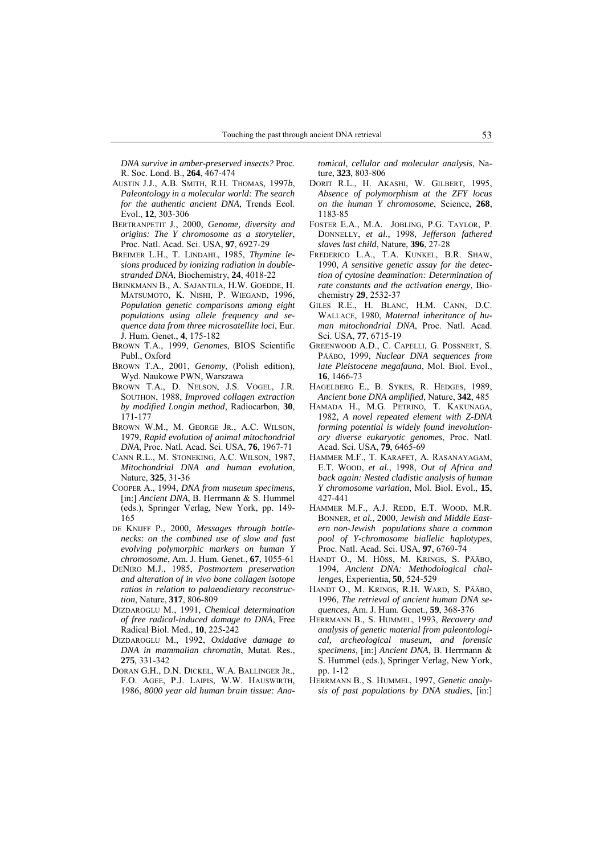*DNA survive in amber-preserved insects?* Proc. R. Soc. Lond. B., **264**, 467-474

- AUSTIN J.J., A.B. SMITH, R.H. THOMAS, 1997*b*, *Paleontology in a molecular world: The search for the authentic ancient DNA*, Trends Ecol. Evol., **12**, 303-306
- BERTRANPETIT J., 2000, *Genome, diversity and origins: The Y chromosome as a storyteller*, Proc. Natl. Acad. Sci. USA, **97**, 6927-29
- BREIMER L.H., T. LINDAHL, 1985, *Thymine lesions produced by ionizing radiation in doublestranded DNA*, Biochemistry, **24**, 4018-22
- BRINKMANN B., A. SAJANTILA, H.W. GOEDDE, H. MATSUMOTO, K. NISHI, P. WIEGAND, 1996, *Population genetic comparisons among eight populations using allele frequency and sequence data from three microsatellite loci*, Eur. J. Hum. Genet., **4**, 175-182
- BROWN T.A., 1999, *Genomes*, BIOS Scientific Publ., Oxford
- BROWN T.A., 2001, *Genomy*, (Polish edition), Wyd. Naukowe PWN, Warszawa
- BROWN T.A., D. NELSON, J.S. VOGEL, J.R. SOUTHON, 1988, *Improved collagen extraction by modified Longin method*, Radiocarbon, **30**, 171-177
- BROWN W.M., M. GEORGE JR., A.C. WILSON, 1979, *Rapid evolution of animal mitochondrial DNA*, Proc. Natl. Acad. Sci. USA, **76**, 1967-71
- CANN R.L., M. STONEKING, A.C. WILSON, 1987, *Mitochondrial DNA and human evolution*, Nature, **325**, 31-36
- COOPER A., 1994, *DNA from museum specimens*, [in:] *Ancient DNA*, B. Herrmann & S. Hummel (eds.), Springer Verlag, New York, pp. 149- 165
- DE KNIJFF P., 2000, *Messages through bottlenecks: on the combined use of slow and fast evolving polymorphic markers on human Y chromosome*, Am. J. Hum. Genet., **67**, 1055-61
- DENIRO M.J., 1985, *Postmortem preservation and alteration of in vivo bone collagen isotope ratios in relation to palaeodietary reconstruction*, Nature, **317**, 806-809
- DIZDAROGLU M., 1991, *Chemical determination of free radical-induced damage to DNA*, Free Radical Biol. Med., **10**, 225-242
- DIZDAROGLU M., 1992, *Oxidative damage to DNA in mammalian chromatin*, Mutat. Res., **275**, 331-342
- DORAN G.H., D.N. DICKEL, W.A. BALLINGER JR., F.O. AGEE, P.J. LAIPIS, W.W. HAUSWIRTH, 1986, *8000 year old human brain tissue: Ana-*

*tomical, cellular and molecular analysis*, Nature, **323**, 803-806

- DORIT R.L., H. AKASHI, W. GILBERT, 1995, *Absence of polymorphism at the ZFY locus on the human Y chromosome*, Science, **268**, 1183-85
- FOSTER E.A., M.A. JOBLING, P.G. TAYLOR, P. DONNELLY, *et al.*, 1998, *Jefferson fathered slaves last child*, Nature, **396**, 27-28
- FREDERICO L.A., T.A. KUNKEL, B.R. SHAW, 1990, *A sensitive genetic assay for the detection of cytosine deamination: Determination of rate constants and the activation energy*, Biochemistry **29**, 2532-37
- GILES R.E., H. BLANC, H.M. CANN, D.C. WALLACE, 1980, *Maternal inheritance of human mitochondrial DNA*, Proc. Natl. Acad. Sci. USA, **77**, 6715-19
- GREENWOOD A.D., C. CAPELLI, G. POSSNERT, S. PÄÄBO, 1999, *Nuclear DNA sequences from late Pleistocene megafauna*, Mol. Biol. Evol., **16**, 1466-73
- HAGELBERG E., B. SYKES, R. HEDGES, 1989, *Ancient bone DNA amplified*, Nature, **342**, 485
- HAMADA H., M.G. PETRINO, T. KAKUNAGA, 1982, *A novel repeated element with Z-DNA forming potential is widely found inevolutionary diverse eukaryotic genomes*, Proc. Natl. Acad. Sci. USA, **79**, 6465-69
- HAMMER M.F., T. KARAFET, A. RASANAYAGAM, E.T. WOOD, *et al.*, 1998, *Out of Africa and back again: Nested cladistic analysis of human Y chromosome variation*, Mol. Biol. Evol., **15**, 427-441
- HAMMER M.F., A.J. REDD, E.T. WOOD, M.R. BONNER, *et al.*, 2000, *Jewish and Middle Eastern non-Jewish populations share a common pool of Y-chromosome biallelic haplotypes*, Proc. Natl. Acad. Sci. USA, **97**, 6769-74
- HANDT O., M. HÖSS, M. KRINGS, S. PÄÄBO, 1994, *Ancient DNA: Methodological challenges*, Experientia, **50**, 524-529
- HANDT O., M. KRINGS, R.H. WARD, S. PÄÄBO, 1996, *The retrieval of ancient human DNA sequences*, Am. J. Hum. Genet., **59**, 368-376
- HERRMANN B., S. HUMMEL, 1993, *Recovery and analysis of genetic material from paleontological, archeological museum, and forensic specimens*, [in:] *Ancient DNA*, B. Herrmann & S. Hummel (eds.), Springer Verlag, New York, pp. 1-12
- HERRMANN B., S. HUMMEL, 1997, *Genetic analysis of past populations by DNA studies*, [in:]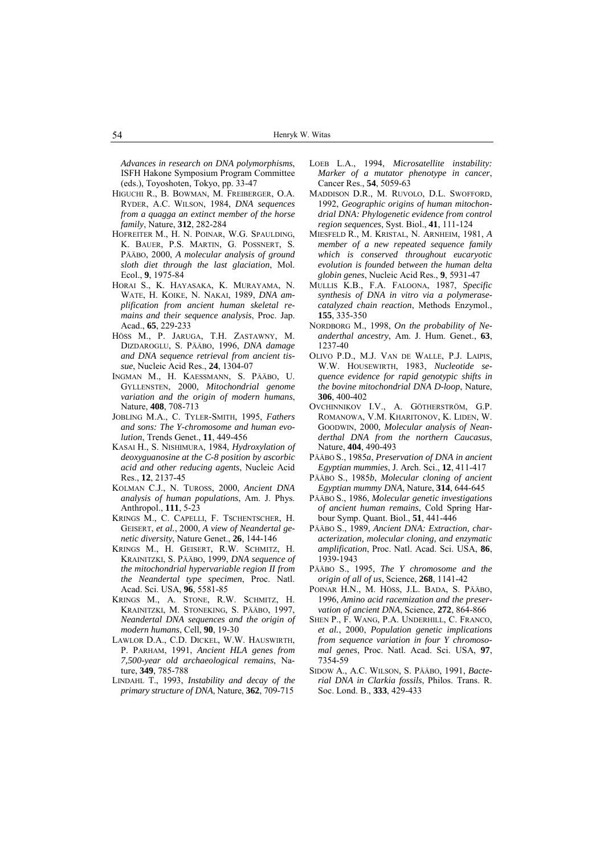*Advances in research on DNA polymorphisms*, ISFH Hakone Symposium Program Committee (eds.), Toyoshoten, Tokyo, pp. 33-47

- HIGUCHI R., B. BOWMAN, M. FREIBERGER, O.A. RYDER, A.C. WILSON, 1984, *DNA sequences from a quagga an extinct member of the horse family*, Nature, **312**, 282-284
- HOFREITER M., H. N. POINAR, W.G. SPAULDING, K. BAUER, P.S. MARTIN, G. POSSNERT, S. PÄÄBO, 2000, *A molecular analysis of ground sloth diet through the last glaciation*, Mol. Ecol., **9**, 1975-84
- HORAI S., K. HAYASAKA, K. MURAYAMA, N. WATE, H. KOIKE, N. NAKAI, 1989, *DNA amplification from ancient human skeletal remains and their sequence analysis*, Proc. Jap. Acad., **65**, 229-233
- HÖSS M., P. JARUGA, T.H. ZASTAWNY, M. DIZDAROGLU, S. PÄÄBO, 1996, *DNA damage and DNA sequence retrieval from ancient tissue*, Nucleic Acid Res., **24**, 1304-07
- INGMAN M., H. KAESSMANN, S. PÄÄBO, U. GYLLENSTEN, 2000, *Mitochondrial genome variation and the origin of modern humans*, Nature, **408**, 708-713
- JOBLING M.A., C. TYLER-SMITH, 1995, *Fathers and sons: The Y-chromosome and human evolution*, Trends Genet., **11**, 449-456
- KASAI H., S. NISHIMURA, 1984, *Hydroxylation of deoxyguanosine at the C-8 position by ascorbic acid and other reducing agents*, Nucleic Acid Res., **12**, 2137-45
- KOLMAN C.J., N. TUROSS, 2000, *Ancient DNA analysis of human populations*, Am. J. Phys. Anthropol., **111**, 5-23
- KRINGS M., C. CAPELLI, F. TSCHENTSCHER, H. GEISERT, *et al.*, 2000, *A view of Neandertal genetic diversity*, Nature Genet., **26**, 144-146
- KRINGS M., H. GEISERT, R.W. SCHMITZ, H. KRAINITZKI, S. PÄÄBO, 1999, *DNA sequence of the mitochondrial hypervariable region II from the Neandertal type specimen*, Proc. Natl. Acad. Sci. USA, **96**, 5581-85
- KRINGS M., A. STONE, R.W. SCHMITZ, H. KRAINITZKI, M. STONEKING, S. PÄÄBO, 1997, *Neandertal DNA sequences and the origin of modern humans*, Cell, **90**, 19-30
- LAWLOR D.A., C.D. DICKEL, W.W. HAUSWIRTH, P. PARHAM, 1991, *Ancient HLA genes from 7,500-year old archaeological remains*, Nature, **349**, 785-788
- LINDAHL T., 1993, *Instability and decay of the primary structure of DNA*, Nature, **362**, 709-715
- LOEB L.A., 1994, *Microsatellite instability: Marker of a mutator phenotype in cancer*, Cancer Res., **54**, 5059-63
- MADDISON D.R., M. RUVOLO, D.L. SWOFFORD, 1992, *Geographic origins of human mitochondrial DNA: Phylogenetic evidence from control region sequences*, Syst. Biol., **41**, 111-124
- MIESFELD R., M. KRISTAL, N. ARNHEIM, 1981, *A member of a new repeated sequence family which is conserved throughout eucaryotic evolution is founded between the human delta globin genes*, Nucleic Acid Res., **9**, 5931-47
- MULLIS K.B., F.A. FALOONA, 1987, *Specific synthesis of DNA in vitro via a polymerasecatalyzed chain reaction*, Methods Enzymol., **155**, 335-350
- NORDBORG M., 1998, *On the probability of Neanderthal ancestry*, Am. J. Hum. Genet., **63**, 1237-40
- OLIVO P.D., M.J. VAN DE WALLE, P.J. LAIPIS, W.W. HOUSEWIRTH, 1983, *Nucleotide sequence evidence for rapid genotypic shifts in the bovine mitochondrial DNA D-loop*, Nature, **306**, 400-402
- OVCHINNIKOV I.V., A. GÖTHERSTRÖM, G.P. ROMANOWA, V.M. KHARITONOV, K. LIDEN, W. GOODWIN, 2000, *Molecular analysis of Neanderthal DNA from the northern Caucasus*, Nature, **404**, 490-493
- PÄÄBO S., 1985*a*, *Preservation of DNA in ancient Egyptian mummies*, J. Arch. Sci., **12**, 411-417
- PÄÄBO S., 1985*b*, *Molecular cloning of ancient Egyptian mummy DNA*, Nature, **314**, 644-645
- PÄÄBO S., 1986, *Molecular genetic investigations of ancient human remains*, Cold Spring Harbour Symp. Quant. Biol., **51**, 441-446
- PÄÄBO S., 1989, *Ancient DNA: Extraction, characterization, molecular cloning, and enzymatic amplification*, Proc. Natl. Acad. Sci. USA, **86**, 1939-1943
- PÄÄBO S., 1995, *The Y chromosome and the origin of all of us*, Science, **268**, 1141-42
- POINAR H.N., M. HÖSS, J.L. BADA, S. PÄÄBO, 1996, *Amino acid racemization and the preservation of ancient DNA*, Science, **272**, 864-866
- SHEN P., F. WANG, P.A. UNDERHILL, C. FRANCO, *et al.*, 2000, *Population genetic implications from sequence variation in four Y chromosomal genes*, Proc. Natl. Acad. Sci. USA, **97**, 7354-59
- SIDOW A., A.C. WILSON, S. PÄÄBO, 1991, *Bacterial DNA in Clarkia fossils*, Philos. Trans. R. Soc. Lond. B., **333**, 429-433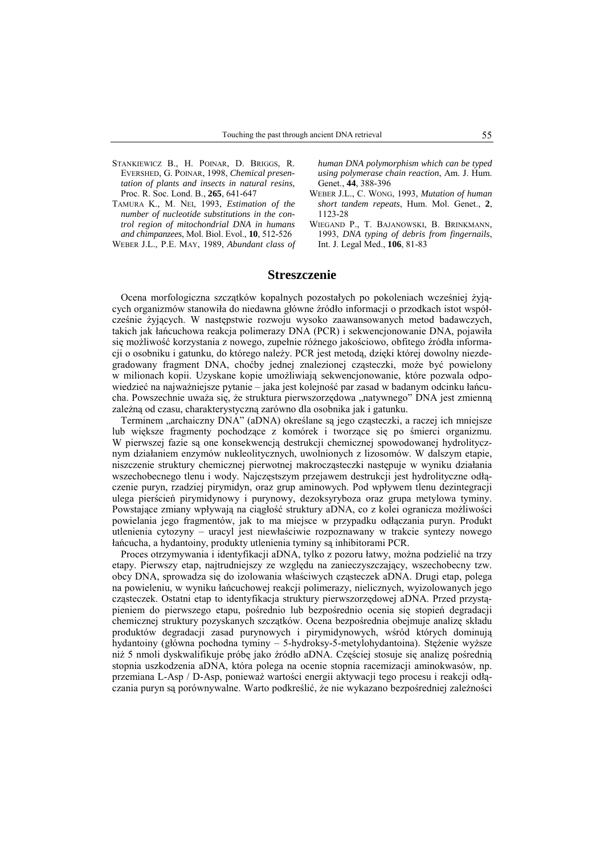- STANKIEWICZ B., H. POINAR, D. BRIGGS, R. EVERSHED, G. POINAR, 1998, *Chemical presentation of plants and insects in natural resins*, Proc. R. Soc. Lond. B., **265**, 641-647
- TAMURA K., M. NEI, 1993, *Estimation of the number of nucleotide substitutions in the control region of mitochondrial DNA in humans and chimpanzees*, Mol. Biol. Evol., **10**, 512-526

WEBER J.L., P.E. MAY, 1989, *Abundant class of*

*human DNA polymorphism which can be typed using polymerase chain reaction*, Am. J. Hum. Genet., **44**, 388-396

- WEBER J.L., C. WONG, 1993, *Mutation of human short tandem repeats*, Hum. Mol. Genet., **2**, 1123-28
- WIEGAND P., T. BAJANOWSKI, B. BRINKMANN, 1993, *DNA typing of debris from fingernails*, Int. J. Legal Med., **106**, 81-83

### **Streszczenie**

Ocena morfologiczna szczątków kopalnych pozostałych po pokoleniach wcześniej żyjących organizmów stanowiła do niedawna główne źródło informacji o przodkach istot współcześnie żyjących. W następstwie rozwoju wysoko zaawansowanych metod badawczych, takich jak łańcuchowa reakcja polimerazy DNA (PCR) i sekwencjonowanie DNA, pojawiła się możliwość korzystania z nowego, zupełnie różnego jakościowo, obfitego źródła informacji o osobniku i gatunku, do którego należy. PCR jest metodą, dzięki której dowolny niezdegradowany fragment DNA, choćby jednej znalezionej cząsteczki, może być powielony w milionach kopii. Uzyskane kopie umożliwiają sekwencjonowanie, które pozwala odpowiedzieć na najważniejsze pytanie – jaka jest kolejność par zasad w badanym odcinku łańcucha. Powszechnie uważa się, że struktura pierwszorzędowa "natywnego" DNA jest zmienną zależną od czasu, charakterystyczną zarówno dla osobnika jak i gatunku.

Terminem "archaiczny DNA" (aDNA) określane są jego cząsteczki, a raczej ich mniejsze lub większe fragmenty pochodzące z komórek i tworzące się po śmierci organizmu. W pierwszej fazie są one konsekwencją destrukcji chemicznej spowodowanej hydrolitycznym działaniem enzymów nukleolitycznych, uwolnionych z lizosomów. W dalszym etapie, niszczenie struktury chemicznej pierwotnej makrocząsteczki następuje w wyniku działania wszechobecnego tlenu i wody. Najczęstszym przejawem destrukcji jest hydrolityczne odłączenie puryn, rzadziej pirymidyn, oraz grup aminowych. Pod wpływem tlenu dezintegracji ulega pierścień pirymidynowy i purynowy, dezoksyryboza oraz grupa metylowa tyminy. Powstające zmiany wpływają na ciągłość struktury aDNA, co z kolei ogranicza możliwości powielania jego fragmentów, jak to ma miejsce w przypadku odłączania puryn. Produkt utlenienia cytozyny – uracyl jest niewłaściwie rozpoznawany w trakcie syntezy nowego łańcucha, a hydantoiny, produkty utlenienia tyminy są inhibitorami PCR.

Proces otrzymywania i identyfikacji aDNA, tylko z pozoru łatwy, można podzielić na trzy etapy. Pierwszy etap, najtrudniejszy ze względu na zanieczyszczający, wszechobecny tzw. obcy DNA, sprowadza się do izolowania właściwych cząsteczek aDNA. Drugi etap, polega na powieleniu, w wyniku łańcuchowej reakcji polimerazy, nielicznych, wyizolowanych jego cząsteczek. Ostatni etap to identyfikacja struktury pierwszorzędowej aDNA. Przed przystąpieniem do pierwszego etapu, pośrednio lub bezpośrednio ocenia się stopień degradacji chemicznej struktury pozyskanych szczątków. Ocena bezpośrednia obejmuje analizę składu produktów degradacji zasad purynowych i pirymidynowych, wśród których dominują hydantoiny (główna pochodna tyminy – 5-hydroksy-5-metylohydantoina). Stężenie wyższe niż 5 nmoli dyskwalifikuje próbę jako źródło aDNA. Częściej stosuje się analizę pośrednią stopnia uszkodzenia aDNA, która polega na ocenie stopnia racemizacji aminokwasów, np. przemiana L-Asp / D-Asp, ponieważ wartości energii aktywacji tego procesu i reakcji odłączania puryn są porównywalne. Warto podkreślić, że nie wykazano bezpośredniej zależności